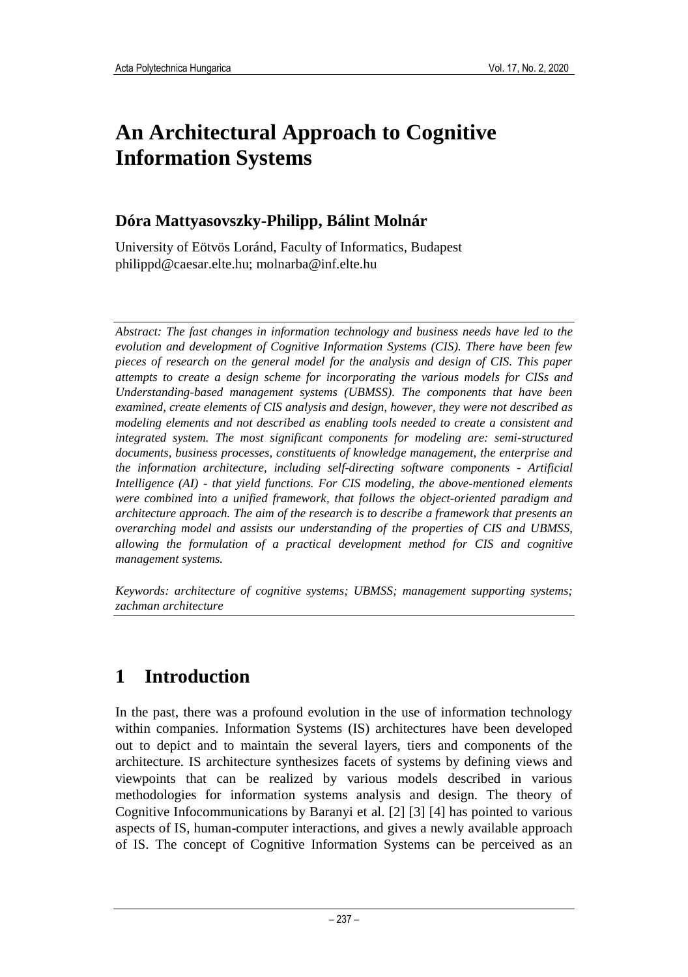# **An Architectural Approach to Cognitive Information Systems**

#### **Dóra Mattyasovszky-Philipp, Bálint Molnár**

University of Eötvös Loránd, Faculty of Informatics, Budapest philippd@caesar.elte.hu; molnarba@inf.elte.hu

*Abstract: The fast changes in information technology and business needs have led to the evolution and development of Cognitive Information Systems (CIS). There have been few pieces of research on the general model for the analysis and design of CIS. This paper attempts to create a design scheme for incorporating the various models for CISs and Understanding-based management systems (UBMSS). The components that have been examined, create elements of CIS analysis and design, however, they were not described as modeling elements and not described as enabling tools needed to create a consistent and integrated system. The most significant components for modeling are: semi-structured documents, business processes, constituents of knowledge management, the enterprise and the information architecture, including self-directing software components - Artificial Intelligence (AI) - that yield functions. For CIS modeling, the above-mentioned elements were combined into a unified framework, that follows the object-oriented paradigm and architecture approach. The aim of the research is to describe a framework that presents an overarching model and assists our understanding of the properties of CIS and UBMSS, allowing the formulation of a practical development method for CIS and cognitive management systems.*

*Keywords: architecture of cognitive systems; UBMSS; management supporting systems; zachman architecture*

## **1 Introduction**

In the past, there was a profound evolution in the use of information technology within companies. Information Systems (IS) architectures have been developed out to depict and to maintain the several layers, tiers and components of the architecture. IS architecture synthesizes facets of systems by defining views and viewpoints that can be realized by various models described in various methodologies for information systems analysis and design. The theory of Cognitive Infocommunications by Baranyi et al. [2] [3] [4] has pointed to various aspects of IS, human-computer interactions, and gives a newly available approach of IS. The concept of Cognitive Information Systems can be perceived as an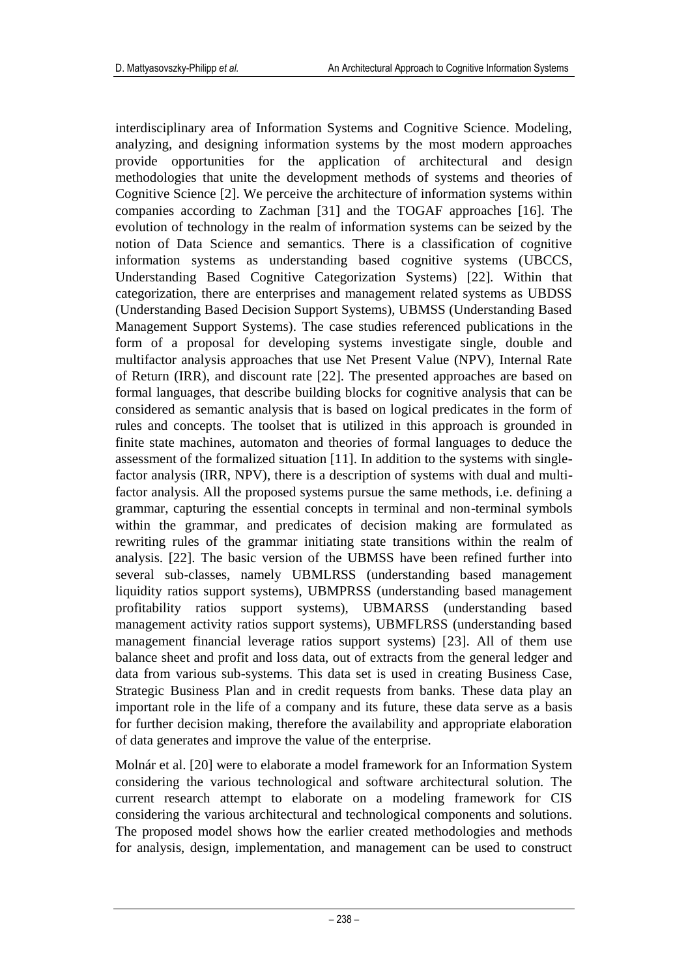interdisciplinary area of Information Systems and Cognitive Science. Modeling, analyzing, and designing information systems by the most modern approaches provide opportunities for the application of architectural and design methodologies that unite the development methods of systems and theories of Cognitive Science [2]. We perceive the architecture of information systems within companies according to Zachman [31] and the TOGAF approaches [16]. The evolution of technology in the realm of information systems can be seized by the notion of Data Science and semantics. There is a classification of cognitive information systems as understanding based cognitive systems (UBCCS, Understanding Based Cognitive Categorization Systems) [22]. Within that categorization, there are enterprises and management related systems as UBDSS (Understanding Based Decision Support Systems), UBMSS (Understanding Based Management Support Systems). The case studies referenced publications in the form of a proposal for developing systems investigate single, double and multifactor analysis approaches that use Net Present Value (NPV), Internal Rate of Return (IRR), and discount rate [22]. The presented approaches are based on formal languages, that describe building blocks for cognitive analysis that can be considered as semantic analysis that is based on logical predicates in the form of rules and concepts. The toolset that is utilized in this approach is grounded in finite state machines, automaton and theories of formal languages to deduce the assessment of the formalized situation [11]. In addition to the systems with singlefactor analysis (IRR, NPV), there is a description of systems with dual and multifactor analysis. All the proposed systems pursue the same methods, i.e. defining a grammar, capturing the essential concepts in terminal and non-terminal symbols within the grammar, and predicates of decision making are formulated as rewriting rules of the grammar initiating state transitions within the realm of analysis. [22]. The basic version of the UBMSS have been refined further into several sub-classes, namely UBMLRSS (understanding based management liquidity ratios support systems), UBMPRSS (understanding based management profitability ratios support systems), UBMARSS (understanding based management activity ratios support systems), UBMFLRSS (understanding based management financial leverage ratios support systems) [23]. All of them use balance sheet and profit and loss data, out of extracts from the general ledger and data from various sub-systems. This data set is used in creating Business Case, Strategic Business Plan and in credit requests from banks. These data play an important role in the life of a company and its future, these data serve as a basis for further decision making, therefore the availability and appropriate elaboration of data generates and improve the value of the enterprise.

Molnár et al. [20] were to elaborate a model framework for an Information System considering the various technological and software architectural solution. The current research attempt to elaborate on a modeling framework for CIS considering the various architectural and technological components and solutions. The proposed model shows how the earlier created methodologies and methods for analysis, design, implementation, and management can be used to construct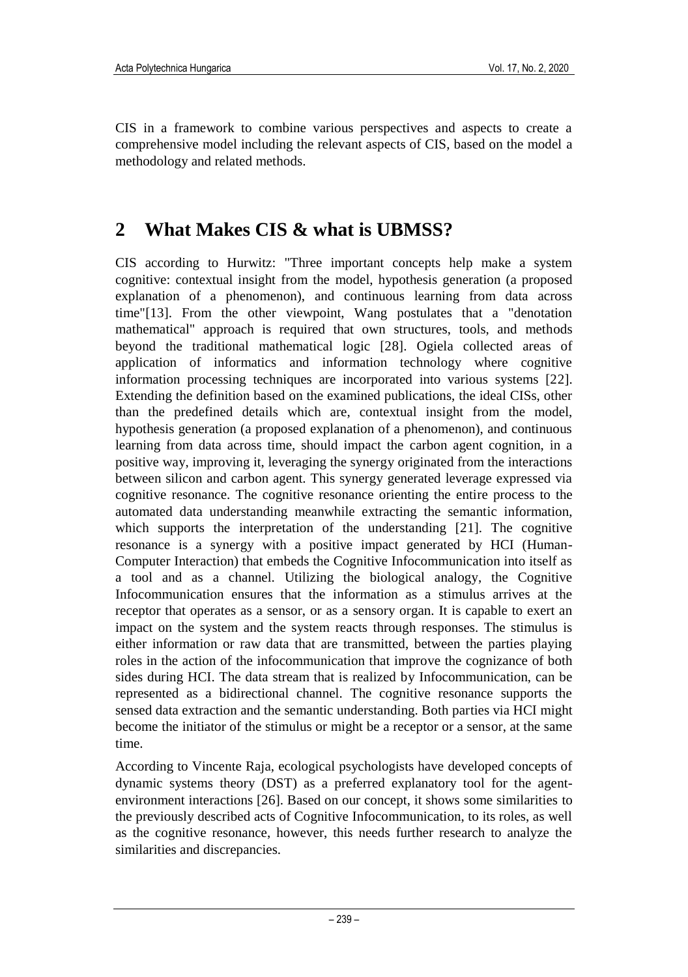CIS in a framework to combine various perspectives and aspects to create a comprehensive model including the relevant aspects of CIS, based on the model a methodology and related methods.

### **2 What Makes CIS & what is UBMSS?**

CIS according to Hurwitz: "Three important concepts help make a system cognitive: contextual insight from the model, hypothesis generation (a proposed explanation of a phenomenon), and continuous learning from data across time"[13]. From the other viewpoint, Wang postulates that a "denotation mathematical" approach is required that own structures, tools, and methods beyond the traditional mathematical logic [28]. Ogiela collected areas of application of informatics and information technology where cognitive information processing techniques are incorporated into various systems [22]. Extending the definition based on the examined publications, the ideal CISs, other than the predefined details which are, contextual insight from the model, hypothesis generation (a proposed explanation of a phenomenon), and continuous learning from data across time, should impact the carbon agent cognition, in a positive way, improving it, leveraging the synergy originated from the interactions between silicon and carbon agent. This synergy generated leverage expressed via cognitive resonance. The cognitive resonance orienting the entire process to the automated data understanding meanwhile extracting the semantic information, which supports the interpretation of the understanding [21]. The cognitive resonance is a synergy with a positive impact generated by HCI (Human-Computer Interaction) that embeds the Cognitive Infocommunication into itself as a tool and as a channel. Utilizing the biological analogy, the Cognitive Infocommunication ensures that the information as a stimulus arrives at the receptor that operates as a sensor, or as a sensory organ. It is capable to exert an impact on the system and the system reacts through responses. The stimulus is either information or raw data that are transmitted, between the parties playing roles in the action of the infocommunication that improve the cognizance of both sides during HCI. The data stream that is realized by Infocommunication, can be represented as a bidirectional channel. The cognitive resonance supports the sensed data extraction and the semantic understanding. Both parties via HCI might become the initiator of the stimulus or might be a receptor or a sensor, at the same time.

According to Vincente Raja, ecological psychologists have developed concepts of dynamic systems theory (DST) as a preferred explanatory tool for the agentenvironment interactions [26]. Based on our concept, it shows some similarities to the previously described acts of Cognitive Infocommunication, to its roles, as well as the cognitive resonance, however, this needs further research to analyze the similarities and discrepancies.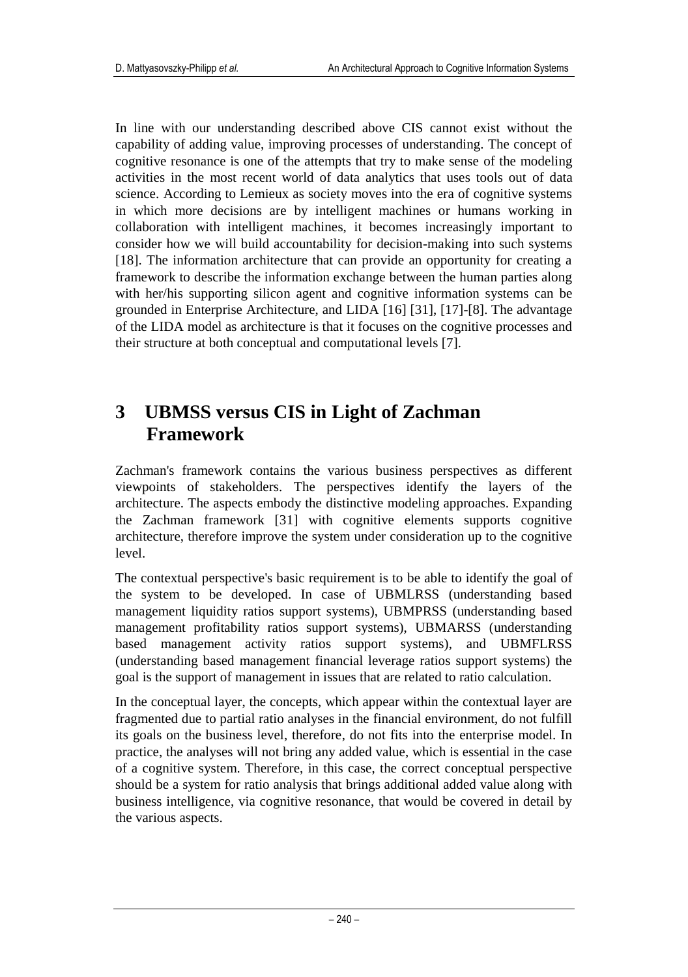In line with our understanding described above CIS cannot exist without the capability of adding value, improving processes of understanding. The concept of cognitive resonance is one of the attempts that try to make sense of the modeling activities in the most recent world of data analytics that uses tools out of data science. According to Lemieux as society moves into the era of cognitive systems in which more decisions are by intelligent machines or humans working in collaboration with intelligent machines, it becomes increasingly important to consider how we will build accountability for decision-making into such systems [18]. The information architecture that can provide an opportunity for creating a framework to describe the information exchange between the human parties along with her/his supporting silicon agent and cognitive information systems can be grounded in Enterprise Architecture, and LIDA [16] [31], [17]-[8]. The advantage of the LIDA model as architecture is that it focuses on the cognitive processes and their structure at both conceptual and computational levels [7].

#### **3 UBMSS versus CIS in Light of Zachman Framework**

Zachman's framework contains the various business perspectives as different viewpoints of stakeholders. The perspectives identify the layers of the architecture. The aspects embody the distinctive modeling approaches. Expanding the Zachman framework [31] with cognitive elements supports cognitive architecture, therefore improve the system under consideration up to the cognitive level.

The contextual perspective's basic requirement is to be able to identify the goal of the system to be developed. In case of UBMLRSS (understanding based management liquidity ratios support systems), UBMPRSS (understanding based management profitability ratios support systems), UBMARSS (understanding based management activity ratios support systems), and UBMFLRSS (understanding based management financial leverage ratios support systems) the goal is the support of management in issues that are related to ratio calculation.

In the conceptual layer, the concepts, which appear within the contextual layer are fragmented due to partial ratio analyses in the financial environment, do not fulfill its goals on the business level, therefore, do not fits into the enterprise model. In practice, the analyses will not bring any added value, which is essential in the case of a cognitive system. Therefore, in this case, the correct conceptual perspective should be a system for ratio analysis that brings additional added value along with business intelligence, via cognitive resonance, that would be covered in detail by the various aspects.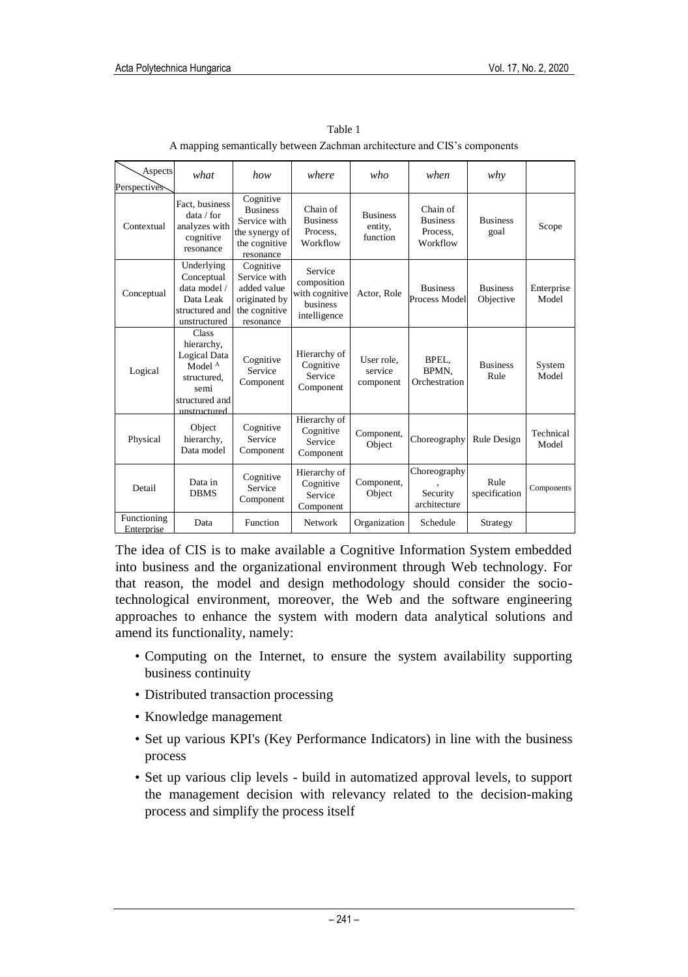| Aspects                    | what                                                                                                                      | how                                                                                          | where                                                                       | who                                    | when                                                | why                          |                     |
|----------------------------|---------------------------------------------------------------------------------------------------------------------------|----------------------------------------------------------------------------------------------|-----------------------------------------------------------------------------|----------------------------------------|-----------------------------------------------------|------------------------------|---------------------|
| Perspectives<br>Contextual | Fact, business<br>data / for<br>analyzes with<br>cognitive<br>resonance                                                   | Cognitive<br><b>Business</b><br>Service with<br>the synergy of<br>the cognitive<br>resonance | Chain of<br><b>Business</b><br>Process,<br>Workflow                         | <b>Business</b><br>entity,<br>function | Chain of<br><b>Business</b><br>Process,<br>Workflow | <b>Business</b><br>goal      | Scope               |
| Conceptual                 | Underlying<br>Conceptual<br>data model /<br>Data Leak<br>structured and<br>unstructured                                   | Cognitive<br>Service with<br>added value<br>originated by<br>the cognitive<br>resonance      | Service<br>composition<br>with cognitive<br><b>business</b><br>intelligence | Actor, Role                            | <b>Business</b><br>Process Model                    | <b>Business</b><br>Objective | Enterprise<br>Model |
| Logical                    | <b>Class</b><br>hierarchy,<br>Logical Data<br>Model <sup>A</sup><br>structured.<br>semi<br>structured and<br>unstructured | Cognitive<br>Service<br>Component                                                            | Hierarchy of<br>Cognitive<br>Service<br>Component                           | User role.<br>service<br>component     | BPEL.<br>BPMN,<br>Orchestration                     | <b>Business</b><br>Rule      | System<br>Model     |
| Physical                   | Object<br>hierarchy,<br>Data model                                                                                        | Cognitive<br>Service<br>Component                                                            | Hierarchy of<br>Cognitive<br>Service<br>Component                           | Component,<br>Object                   | Choreography                                        | Rule Design                  | Technical<br>Model  |
| Detail                     | Data in<br><b>DBMS</b>                                                                                                    | Cognitive<br>Service<br>Component                                                            | Hierarchy of<br>Cognitive<br>Service<br>Component                           | Component,<br>Object                   | Choreography<br>Security<br>architecture            | Rule<br>specification        | Components          |
| Functioning<br>Enterprise  | Data                                                                                                                      | <b>Function</b>                                                                              | Network                                                                     | Organization                           | Schedule                                            | Strategy                     |                     |

Table 1 A mapping semantically between Zachman architecture and CIS's components

The idea of CIS is to make available a Cognitive Information System embedded into business and the organizational environment through Web technology. For that reason, the model and design methodology should consider the sociotechnological environment, moreover, the Web and the software engineering approaches to enhance the system with modern data analytical solutions and amend its functionality, namely:

- Computing on the Internet, to ensure the system availability supporting business continuity
- Distributed transaction processing
- Knowledge management
- Set up various KPI's (Key Performance Indicators) in line with the business process
- Set up various clip levels build in automatized approval levels, to support the management decision with relevancy related to the decision-making process and simplify the process itself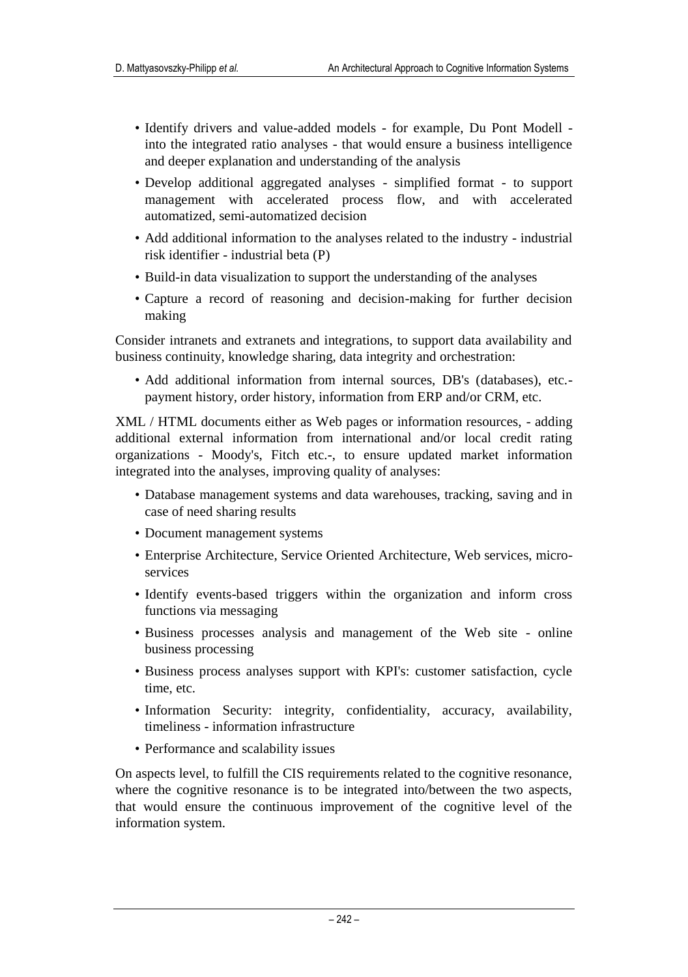- Identify drivers and value-added models for example, Du Pont Modell into the integrated ratio analyses - that would ensure a business intelligence and deeper explanation and understanding of the analysis
- Develop additional aggregated analyses simplified format to support management with accelerated process flow, and with accelerated automatized, semi-automatized decision
- Add additional information to the analyses related to the industry industrial risk identifier - industrial beta (P)
- Build-in data visualization to support the understanding of the analyses
- Capture a record of reasoning and decision-making for further decision making

Consider intranets and extranets and integrations, to support data availability and business continuity, knowledge sharing, data integrity and orchestration:

• Add additional information from internal sources, DB's (databases), etc. payment history, order history, information from ERP and/or CRM, etc.

XML / HTML documents either as Web pages or information resources, - adding additional external information from international and/or local credit rating organizations - Moody's, Fitch etc.-, to ensure updated market information integrated into the analyses, improving quality of analyses:

- Database management systems and data warehouses, tracking, saving and in case of need sharing results
- Document management systems
- Enterprise Architecture, Service Oriented Architecture, Web services, microservices
- Identify events-based triggers within the organization and inform cross functions via messaging
- Business processes analysis and management of the Web site online business processing
- Business process analyses support with KPI's: customer satisfaction, cycle time, etc.
- Information Security: integrity, confidentiality, accuracy, availability, timeliness - information infrastructure
- Performance and scalability issues

On aspects level, to fulfill the CIS requirements related to the cognitive resonance, where the cognitive resonance is to be integrated into/between the two aspects, that would ensure the continuous improvement of the cognitive level of the information system.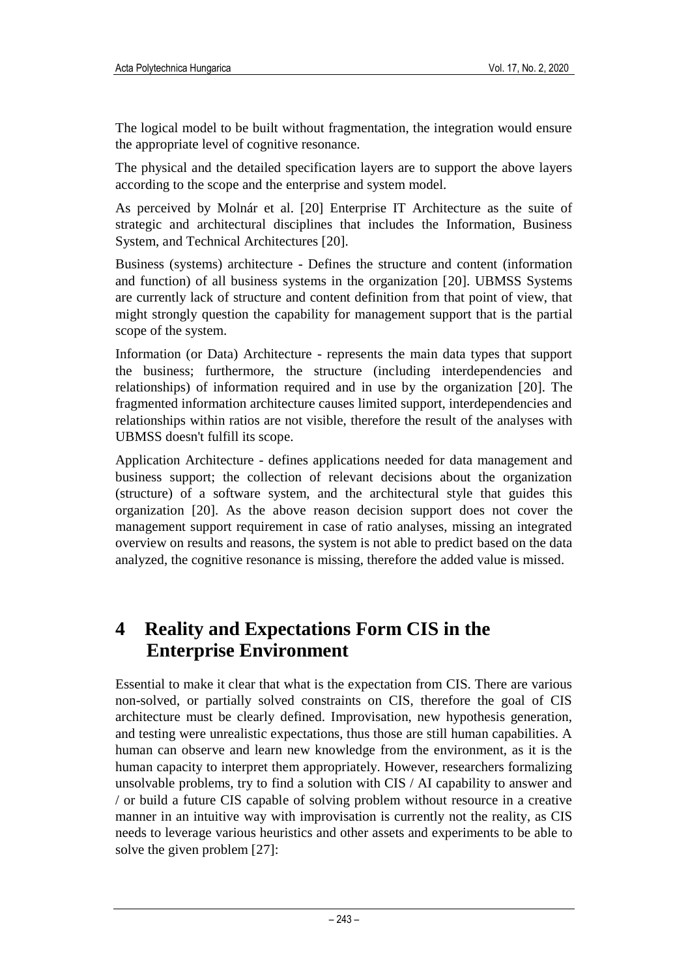The logical model to be built without fragmentation, the integration would ensure the appropriate level of cognitive resonance.

The physical and the detailed specification layers are to support the above layers according to the scope and the enterprise and system model.

As perceived by Molnár et al. [20] Enterprise IT Architecture as the suite of strategic and architectural disciplines that includes the Information, Business System, and Technical Architectures [20].

Business (systems) architecture - Defines the structure and content (information and function) of all business systems in the organization [20]. UBMSS Systems are currently lack of structure and content definition from that point of view, that might strongly question the capability for management support that is the partial scope of the system.

Information (or Data) Architecture - represents the main data types that support the business; furthermore, the structure (including interdependencies and relationships) of information required and in use by the organization [20]. The fragmented information architecture causes limited support, interdependencies and relationships within ratios are not visible, therefore the result of the analyses with UBMSS doesn't fulfill its scope.

Application Architecture - defines applications needed for data management and business support; the collection of relevant decisions about the organization (structure) of a software system, and the architectural style that guides this organization [20]. As the above reason decision support does not cover the management support requirement in case of ratio analyses, missing an integrated overview on results and reasons, the system is not able to predict based on the data analyzed, the cognitive resonance is missing, therefore the added value is missed.

### **4 Reality and Expectations Form CIS in the Enterprise Environment**

Essential to make it clear that what is the expectation from CIS. There are various non-solved, or partially solved constraints on CIS, therefore the goal of CIS architecture must be clearly defined. Improvisation, new hypothesis generation, and testing were unrealistic expectations, thus those are still human capabilities. A human can observe and learn new knowledge from the environment, as it is the human capacity to interpret them appropriately. However, researchers formalizing unsolvable problems, try to find a solution with CIS / AI capability to answer and / or build a future CIS capable of solving problem without resource in a creative manner in an intuitive way with improvisation is currently not the reality, as CIS needs to leverage various heuristics and other assets and experiments to be able to solve the given problem [27]: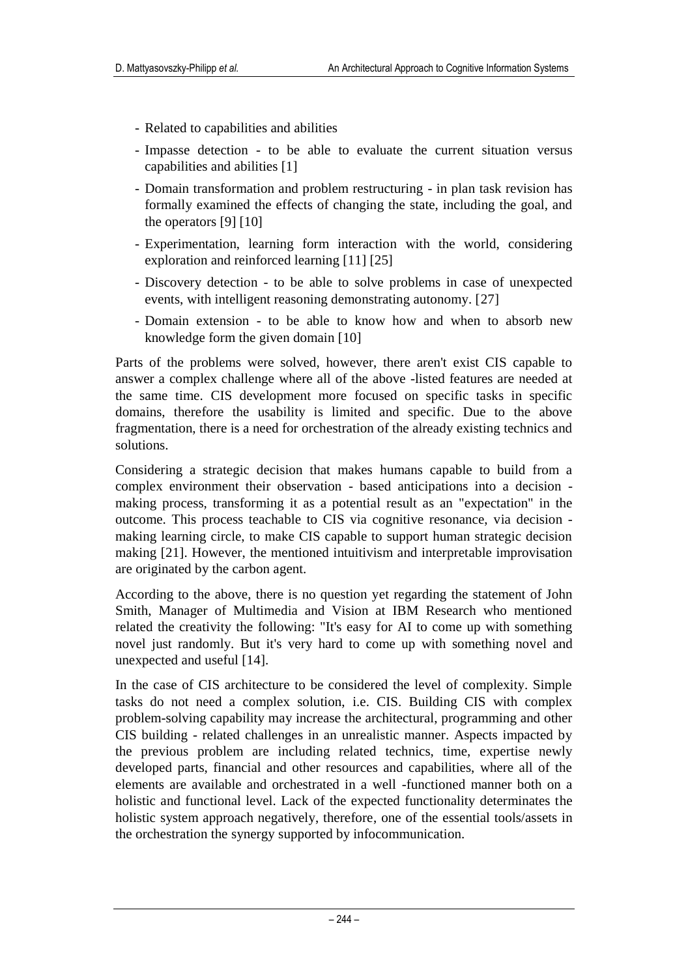- Related to capabilities and abilities
- Impasse detection to be able to evaluate the current situation versus capabilities and abilities [1]
- Domain transformation and problem restructuring in plan task revision has formally examined the effects of changing the state, including the goal, and the operators [9] [10]
- Experimentation, learning form interaction with the world, considering exploration and reinforced learning [11] [25]
- Discovery detection to be able to solve problems in case of unexpected events, with intelligent reasoning demonstrating autonomy. [27]
- Domain extension to be able to know how and when to absorb new knowledge form the given domain [10]

Parts of the problems were solved, however, there aren't exist CIS capable to answer a complex challenge where all of the above -listed features are needed at the same time. CIS development more focused on specific tasks in specific domains, therefore the usability is limited and specific. Due to the above fragmentation, there is a need for orchestration of the already existing technics and solutions.

Considering a strategic decision that makes humans capable to build from a complex environment their observation - based anticipations into a decision making process, transforming it as a potential result as an "expectation" in the outcome. This process teachable to CIS via cognitive resonance, via decision making learning circle, to make CIS capable to support human strategic decision making [21]. However, the mentioned intuitivism and interpretable improvisation are originated by the carbon agent.

According to the above, there is no question yet regarding the statement of John Smith, Manager of Multimedia and Vision at IBM Research who mentioned related the creativity the following: "It's easy for AI to come up with something novel just randomly. But it's very hard to come up with something novel and unexpected and useful [14].

In the case of CIS architecture to be considered the level of complexity. Simple tasks do not need a complex solution, i.e. CIS. Building CIS with complex problem-solving capability may increase the architectural, programming and other CIS building - related challenges in an unrealistic manner. Aspects impacted by the previous problem are including related technics, time, expertise newly developed parts, financial and other resources and capabilities, where all of the elements are available and orchestrated in a well -functioned manner both on a holistic and functional level. Lack of the expected functionality determinates the holistic system approach negatively, therefore, one of the essential tools/assets in the orchestration the synergy supported by infocommunication.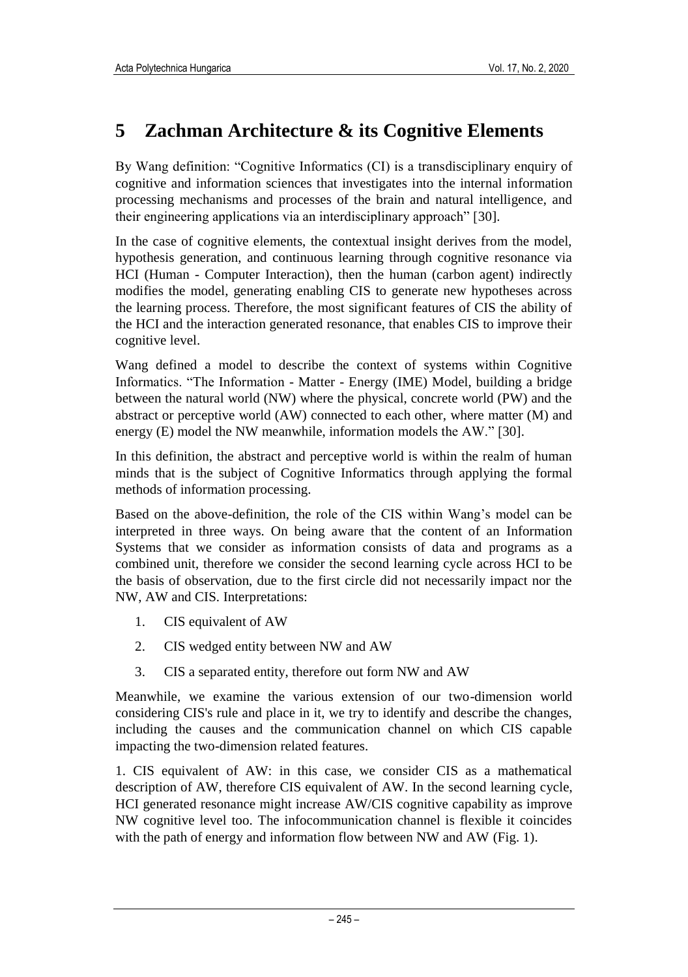## **5 Zachman Architecture & its Cognitive Elements**

By Wang definition: "Cognitive Informatics (CI) is a transdisciplinary enquiry of cognitive and information sciences that investigates into the internal information processing mechanisms and processes of the brain and natural intelligence, and their engineering applications via an interdisciplinary approach" [30].

In the case of cognitive elements, the contextual insight derives from the model, hypothesis generation, and continuous learning through cognitive resonance via HCI (Human - Computer Interaction), then the human (carbon agent) indirectly modifies the model, generating enabling CIS to generate new hypotheses across the learning process. Therefore, the most significant features of CIS the ability of the HCI and the interaction generated resonance, that enables CIS to improve their cognitive level.

Wang defined a model to describe the context of systems within Cognitive Informatics. "The Information - Matter - Energy (IME) Model, building a bridge between the natural world (NW) where the physical, concrete world (PW) and the abstract or perceptive world (AW) connected to each other, where matter (M) and energy (E) model the NW meanwhile, information models the AW." [30].

In this definition, the abstract and perceptive world is within the realm of human minds that is the subject of Cognitive Informatics through applying the formal methods of information processing.

Based on the above-definition, the role of the CIS within Wang's model can be interpreted in three ways. On being aware that the content of an Information Systems that we consider as information consists of data and programs as a combined unit, therefore we consider the second learning cycle across HCI to be the basis of observation, due to the first circle did not necessarily impact nor the NW, AW and CIS. Interpretations:

- 1. CIS equivalent of AW
- 2. CIS wedged entity between NW and AW
- 3. CIS a separated entity, therefore out form NW and AW

Meanwhile, we examine the various extension of our two-dimension world considering CIS's rule and place in it, we try to identify and describe the changes, including the causes and the communication channel on which CIS capable impacting the two-dimension related features.

1. CIS equivalent of AW: in this case, we consider CIS as a mathematical description of AW, therefore CIS equivalent of AW. In the second learning cycle, HCI generated resonance might increase AW/CIS cognitive capability as improve NW cognitive level too. The infocommunication channel is flexible it coincides with the path of energy and information flow between NW and AW (Fig. 1).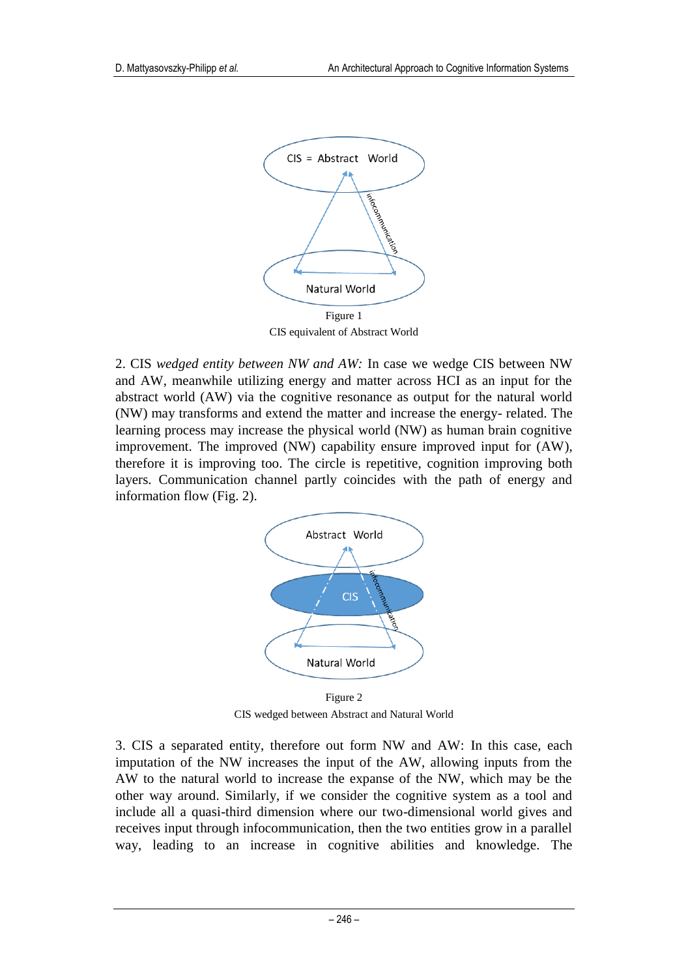

CIS equivalent of Abstract World

2. CIS *wedged entity between NW and AW:* In case we wedge CIS between NW and AW, meanwhile utilizing energy and matter across HCI as an input for the abstract world (AW) via the cognitive resonance as output for the natural world (NW) may transforms and extend the matter and increase the energy- related. The learning process may increase the physical world (NW) as human brain cognitive improvement. The improved (NW) capability ensure improved input for (AW), therefore it is improving too. The circle is repetitive, cognition improving both layers. Communication channel partly coincides with the path of energy and information flow (Fig. 2).



Figure 2 CIS wedged between Abstract and Natural World

3. CIS a separated entity, therefore out form NW and AW: In this case, each imputation of the NW increases the input of the AW, allowing inputs from the AW to the natural world to increase the expanse of the NW, which may be the other way around. Similarly, if we consider the cognitive system as a tool and include all a quasi-third dimension where our two-dimensional world gives and receives input through infocommunication, then the two entities grow in a parallel way, leading to an increase in cognitive abilities and knowledge. The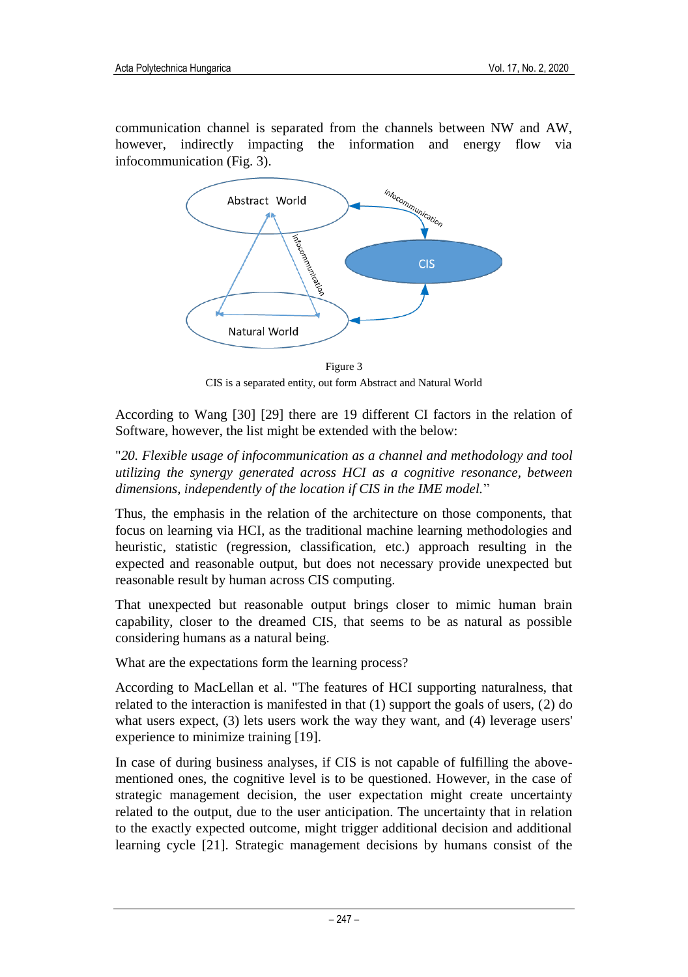communication channel is separated from the channels between NW and AW, however, indirectly impacting the information and energy flow via infocommunication (Fig. 3).



Figure 3 CIS is a separated entity, out form Abstract and Natural World

According to Wang [30] [29] there are 19 different CI factors in the relation of Software, however, the list might be extended with the below:

#### "*20. Flexible usage of infocommunication as a channel and methodology and tool utilizing the synergy generated across HCI as a cognitive resonance, between dimensions, independently of the location if CIS in the IME model.*"

Thus, the emphasis in the relation of the architecture on those components, that focus on learning via HCI, as the traditional machine learning methodologies and heuristic, statistic (regression, classification, etc.) approach resulting in the expected and reasonable output, but does not necessary provide unexpected but reasonable result by human across CIS computing.

That unexpected but reasonable output brings closer to mimic human brain capability, closer to the dreamed CIS, that seems to be as natural as possible considering humans as a natural being.

What are the expectations form the learning process?

According to MacLellan et al. "The features of HCI supporting naturalness, that related to the interaction is manifested in that (1) support the goals of users, (2) do what users expect, (3) lets users work the way they want, and (4) leverage users' experience to minimize training [19].

In case of during business analyses, if CIS is not capable of fulfilling the abovementioned ones, the cognitive level is to be questioned. However, in the case of strategic management decision, the user expectation might create uncertainty related to the output, due to the user anticipation. The uncertainty that in relation to the exactly expected outcome, might trigger additional decision and additional learning cycle [21]. Strategic management decisions by humans consist of the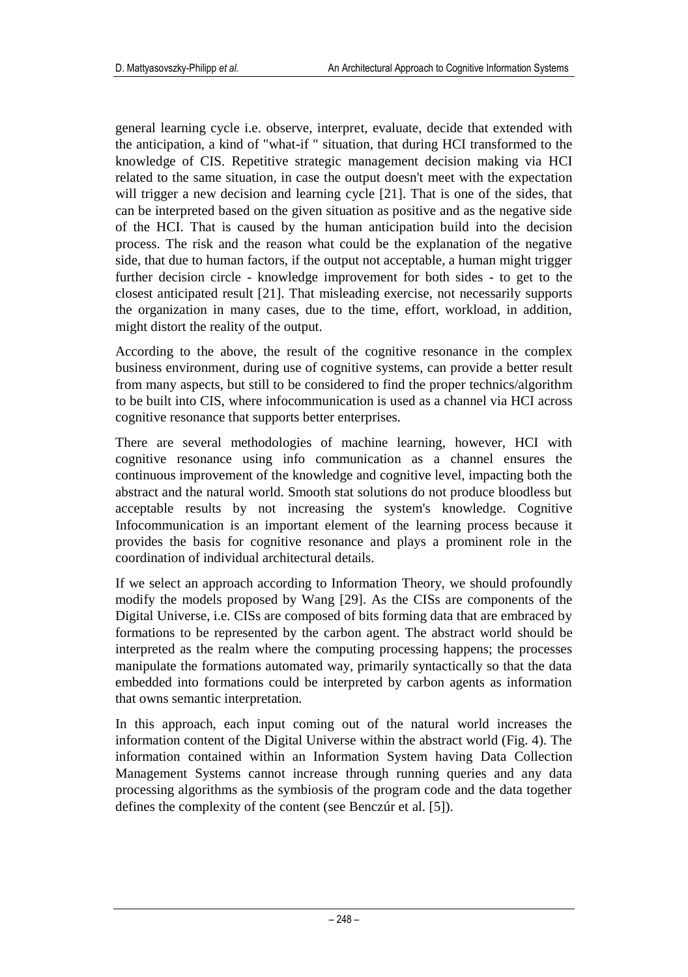general learning cycle i.e. observe, interpret, evaluate, decide that extended with the anticipation, a kind of "what-if " situation, that during HCI transformed to the knowledge of CIS. Repetitive strategic management decision making via HCI related to the same situation, in case the output doesn't meet with the expectation will trigger a new decision and learning cycle [21]. That is one of the sides, that can be interpreted based on the given situation as positive and as the negative side of the HCI. That is caused by the human anticipation build into the decision process. The risk and the reason what could be the explanation of the negative side, that due to human factors, if the output not acceptable, a human might trigger further decision circle - knowledge improvement for both sides - to get to the closest anticipated result [21]. That misleading exercise, not necessarily supports the organization in many cases, due to the time, effort, workload, in addition, might distort the reality of the output.

According to the above, the result of the cognitive resonance in the complex business environment, during use of cognitive systems, can provide a better result from many aspects, but still to be considered to find the proper technics/algorithm to be built into CIS, where infocommunication is used as a channel via HCI across cognitive resonance that supports better enterprises.

There are several methodologies of machine learning, however, HCI with cognitive resonance using info communication as a channel ensures the continuous improvement of the knowledge and cognitive level, impacting both the abstract and the natural world. Smooth stat solutions do not produce bloodless but acceptable results by not increasing the system's knowledge. Cognitive Infocommunication is an important element of the learning process because it provides the basis for cognitive resonance and plays a prominent role in the coordination of individual architectural details.

If we select an approach according to Information Theory, we should profoundly modify the models proposed by Wang [29]. As the CISs are components of the Digital Universe, i.e. CISs are composed of bits forming data that are embraced by formations to be represented by the carbon agent. The abstract world should be interpreted as the realm where the computing processing happens; the processes manipulate the formations automated way, primarily syntactically so that the data embedded into formations could be interpreted by carbon agents as information that owns semantic interpretation.

In this approach, each input coming out of the natural world increases the information content of the Digital Universe within the abstract world (Fig. 4). The information contained within an Information System having Data Collection Management Systems cannot increase through running queries and any data processing algorithms as the symbiosis of the program code and the data together defines the complexity of the content (see Benczúr et al. [5]).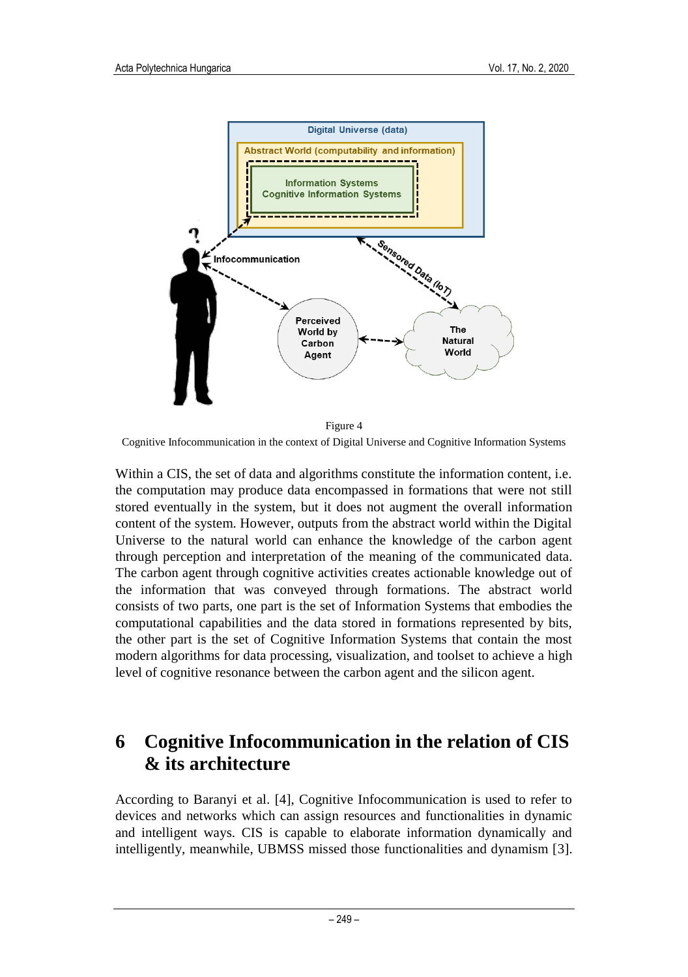

Cognitive Infocommunication in the context of Digital Universe and Cognitive Information Systems

Within a CIS, the set of data and algorithms constitute the information content, i.e. the computation may produce data encompassed in formations that were not still stored eventually in the system, but it does not augment the overall information content of the system. However, outputs from the abstract world within the Digital Universe to the natural world can enhance the knowledge of the carbon agent through perception and interpretation of the meaning of the communicated data. The carbon agent through cognitive activities creates actionable knowledge out of the information that was conveyed through formations. The abstract world consists of two parts, one part is the set of Information Systems that embodies the computational capabilities and the data stored in formations represented by bits, the other part is the set of Cognitive Information Systems that contain the most modern algorithms for data processing, visualization, and toolset to achieve a high level of cognitive resonance between the carbon agent and the silicon agent.

### **6 Cognitive Infocommunication in the relation of CIS & its architecture**

According to Baranyi et al. [4], Cognitive Infocommunication is used to refer to devices and networks which can assign resources and functionalities in dynamic and intelligent ways. CIS is capable to elaborate information dynamically and intelligently, meanwhile, UBMSS missed those functionalities and dynamism [3].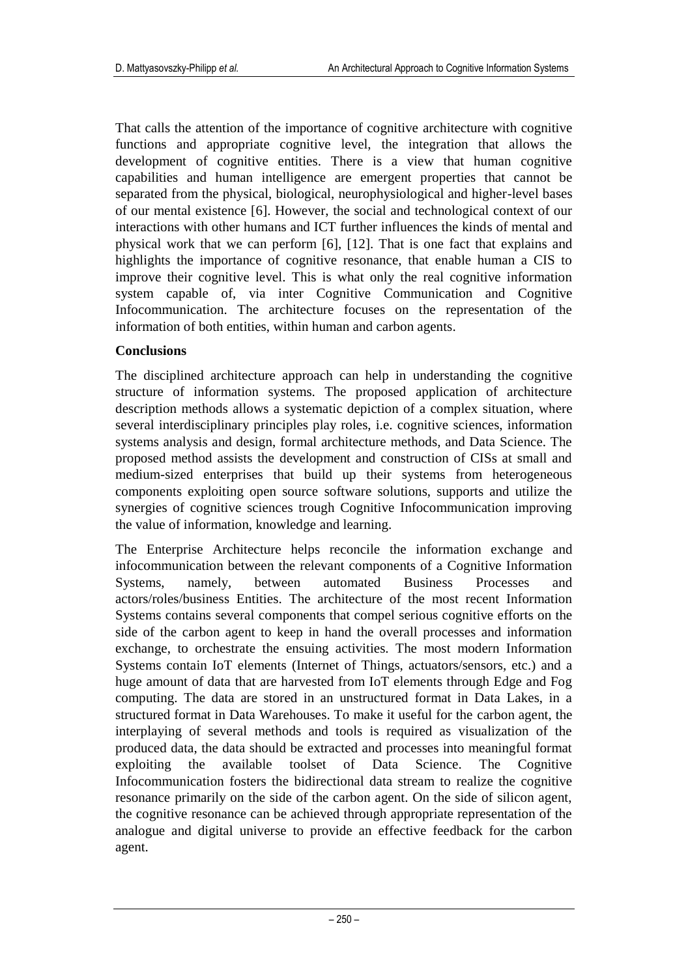That calls the attention of the importance of cognitive architecture with cognitive functions and appropriate cognitive level, the integration that allows the development of cognitive entities. There is a view that human cognitive capabilities and human intelligence are emergent properties that cannot be separated from the physical, biological, neurophysiological and higher-level bases of our mental existence [6]. However, the social and technological context of our interactions with other humans and ICT further influences the kinds of mental and physical work that we can perform [6], [12]. That is one fact that explains and highlights the importance of cognitive resonance, that enable human a CIS to improve their cognitive level. This is what only the real cognitive information system capable of, via inter Cognitive Communication and Cognitive Infocommunication. The architecture focuses on the representation of the information of both entities, within human and carbon agents.

#### **Conclusions**

The disciplined architecture approach can help in understanding the cognitive structure of information systems. The proposed application of architecture description methods allows a systematic depiction of a complex situation, where several interdisciplinary principles play roles, i.e. cognitive sciences, information systems analysis and design, formal architecture methods, and Data Science. The proposed method assists the development and construction of CISs at small and medium-sized enterprises that build up their systems from heterogeneous components exploiting open source software solutions, supports and utilize the synergies of cognitive sciences trough Cognitive Infocommunication improving the value of information, knowledge and learning.

The Enterprise Architecture helps reconcile the information exchange and infocommunication between the relevant components of a Cognitive Information Systems, namely, between automated Business Processes and actors/roles/business Entities. The architecture of the most recent Information Systems contains several components that compel serious cognitive efforts on the side of the carbon agent to keep in hand the overall processes and information exchange, to orchestrate the ensuing activities. The most modern Information Systems contain IoT elements (Internet of Things, actuators/sensors, etc.) and a huge amount of data that are harvested from IoT elements through Edge and Fog computing. The data are stored in an unstructured format in Data Lakes, in a structured format in Data Warehouses. To make it useful for the carbon agent, the interplaying of several methods and tools is required as visualization of the produced data, the data should be extracted and processes into meaningful format exploiting the available toolset of Data Science. The Cognitive Infocommunication fosters the bidirectional data stream to realize the cognitive resonance primarily on the side of the carbon agent. On the side of silicon agent, the cognitive resonance can be achieved through appropriate representation of the analogue and digital universe to provide an effective feedback for the carbon agent.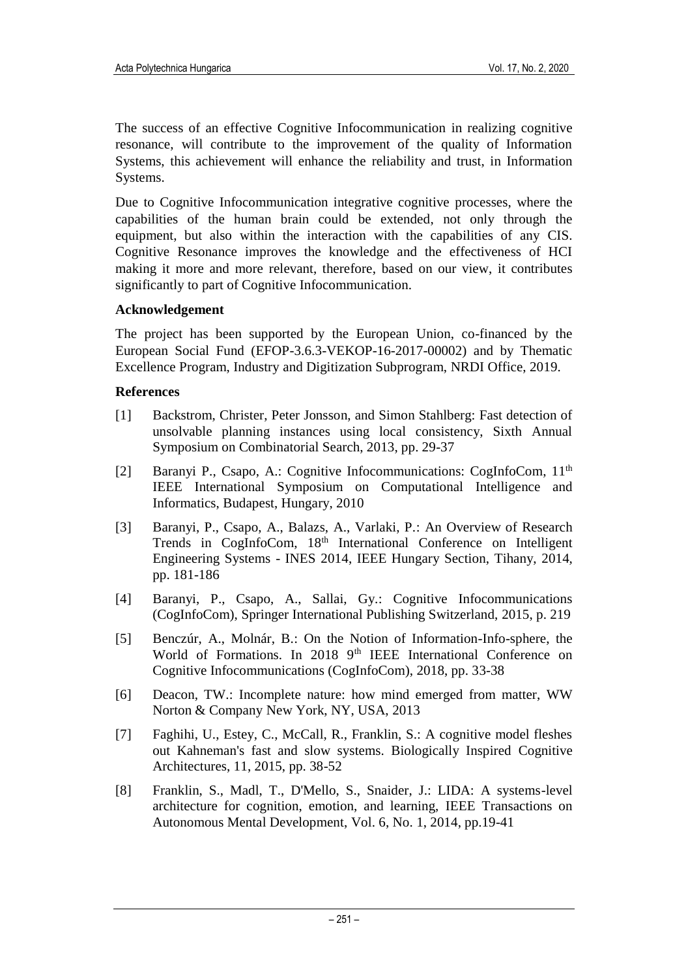The success of an effective Cognitive Infocommunication in realizing cognitive resonance, will contribute to the improvement of the quality of Information Systems, this achievement will enhance the reliability and trust, in Information Systems.

Due to Cognitive Infocommunication integrative cognitive processes, where the capabilities of the human brain could be extended, not only through the equipment, but also within the interaction with the capabilities of any CIS. Cognitive Resonance improves the knowledge and the effectiveness of HCI making it more and more relevant, therefore, based on our view, it contributes significantly to part of Cognitive Infocommunication.

#### **Acknowledgement**

The project has been supported by the European Union, co-financed by the European Social Fund (EFOP-3.6.3-VEKOP-16-2017-00002) and by Thematic Excellence Program, Industry and Digitization Subprogram, NRDI Office, 2019.

#### **References**

- [1] Backstrom, Christer, Peter Jonsson, and Simon Stahlberg: Fast detection of unsolvable planning instances using local consistency, Sixth Annual Symposium on Combinatorial Search, 2013, pp. 29-37
- [2] Baranyi P., Csapo, A.: Cognitive Infocommunications: CogInfoCom, 11<sup>th</sup> IEEE International Symposium on Computational Intelligence and Informatics, Budapest, Hungary, 2010
- [3] Baranyi, P., Csapo, A., Balazs, A., Varlaki, P.: An Overview of Research Trends in CogInfoCom, 18<sup>th</sup> International Conference on Intelligent Engineering Systems - INES 2014, IEEE Hungary Section, Tihany, 2014, pp. 181-186
- [4] Baranyi, P., Csapo, A., Sallai, Gy.: Cognitive Infocommunications (CogInfoCom), Springer International Publishing Switzerland, 2015, p. 219
- [5] Benczúr, A., Molnár, B.: On the Notion of Information-Info-sphere, the World of Formations. In 2018 9<sup>th</sup> IEEE International Conference on Cognitive Infocommunications (CogInfoCom), 2018, pp. 33-38
- [6] Deacon, TW.: Incomplete nature: how mind emerged from matter, WW Norton & Company New York, NY, USA, 2013
- [7] Faghihi, U., Estey, C., McCall, R., Franklin, S.: A cognitive model fleshes out Kahneman's fast and slow systems. Biologically Inspired Cognitive Architectures, 11, 2015, pp. 38-52
- [8] Franklin, S., Madl, T., D'Mello, S., Snaider, J.: LIDA: A systems-level architecture for cognition, emotion, and learning, IEEE Transactions on Autonomous Mental Development, Vol. 6, No. 1, 2014, pp.19-41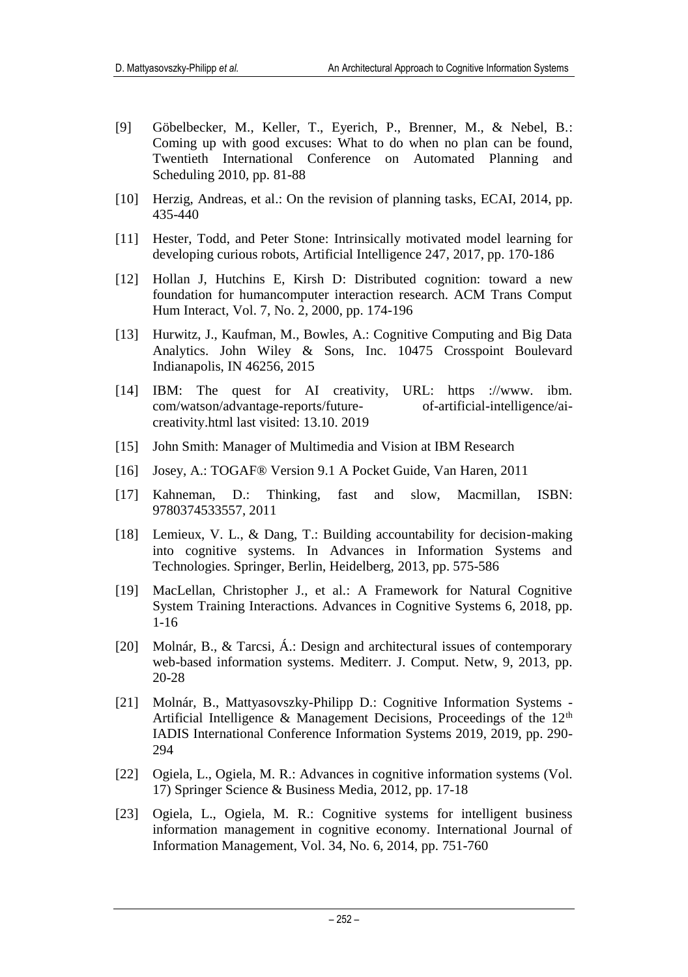- [9] Göbelbecker, M., Keller, T., Eyerich, P., Brenner, M., & Nebel, B.: Coming up with good excuses: What to do when no plan can be found, Twentieth International Conference on Automated Planning and Scheduling 2010, pp. 81-88
- [10] Herzig, Andreas, et al.: On the revision of planning tasks, ECAI, 2014, pp. 435-440
- [11] Hester, Todd, and Peter Stone: Intrinsically motivated model learning for developing curious robots, Artificial Intelligence 247, 2017, pp. 170-186
- [12] Hollan J, Hutchins E, Kirsh D: Distributed cognition: toward a new foundation for humancomputer interaction research. ACM Trans Comput Hum Interact, Vol. 7, No. 2, 2000, pp. 174-196
- [13] Hurwitz, J., Kaufman, M., Bowles, A.: Cognitive Computing and Big Data Analytics. John Wiley & Sons, Inc. 10475 Crosspoint Boulevard Indianapolis, IN 46256, 2015
- [14] IBM: The quest for AI creativity, URL: https ://www. ibm. com/watson/advantage-reports/future- of-artificial-intelligence/aicreativity.html last visited: 13.10. 2019
- [15] John Smith: Manager of Multimedia and Vision at IBM Research
- [16] Josey, A.: TOGAF® Version 9.1 A Pocket Guide, Van Haren, 2011
- [17] Kahneman, D.: Thinking, fast and slow, Macmillan, ISBN: 9780374533557, 2011
- [18] Lemieux, V. L., & Dang, T.: Building accountability for decision-making into cognitive systems. In Advances in Information Systems and Technologies. Springer, Berlin, Heidelberg, 2013, pp. 575-586
- [19] MacLellan, Christopher J., et al.: A Framework for Natural Cognitive System Training Interactions. Advances in Cognitive Systems 6, 2018, pp. 1-16
- [20] Molnár, B., & Tarcsi, Á.: Design and architectural issues of contemporary web-based information systems. Mediterr. J. Comput. Netw, 9, 2013, pp. 20-28
- [21] Molnár, B., Mattyasovszky-Philipp D.: Cognitive Information Systems Artificial Intelligence & Management Decisions, Proceedings of the  $12<sup>th</sup>$ IADIS International Conference Information Systems 2019, 2019, pp. 290- 294
- [22] Ogiela, L., Ogiela, M. R.: Advances in cognitive information systems (Vol. 17) Springer Science & Business Media, 2012, pp. 17-18
- [23] Ogiela, L., Ogiela, M. R.: Cognitive systems for intelligent business information management in cognitive economy. International Journal of Information Management, Vol. 34, No. 6, 2014, pp. 751-760